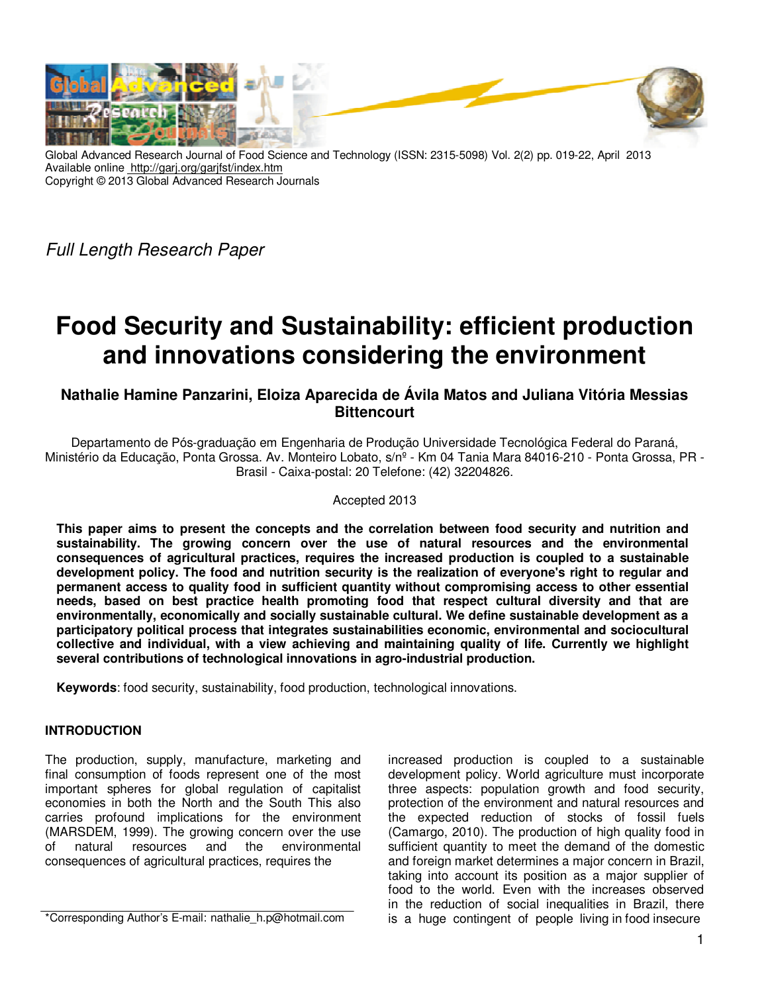

Global Advanced Research Journal of Food Science and Technology (ISSN: 2315-5098) Vol. 2(2) pp. 019-22, April 2013 Available online http://garj.org/garjfst/index.htm Copyright © 2013 Global Advanced Research Journals

Full Length Research Paper

# **Food Security and Sustainability: efficient production and innovations considering the environment**

# **Nathalie Hamine Panzarini, Eloiza Aparecida de Ávila Matos and Juliana Vitória Messias Bittencourt**

Departamento de Pós-graduação em Engenharia de Produção Universidade Tecnológica Federal do Paraná, Ministério da Educação, Ponta Grossa. Av. Monteiro Lobato, s/nº - Km 04 Tania Mara 84016-210 - Ponta Grossa, PR - Brasil - Caixa-postal: 20 Telefone: (42) 32204826.

#### Accepted 2013

**This paper aims to present the concepts and the correlation between food security and nutrition and sustainability. The growing concern over the use of natural resources and the environmental consequences of agricultural practices, requires the increased production is coupled to a sustainable development policy. The food and nutrition security is the realization of everyone's right to regular and permanent access to quality food in sufficient quantity without compromising access to other essential needs, based on best practice health promoting food that respect cultural diversity and that are environmentally, economically and socially sustainable cultural. We define sustainable development as a participatory political process that integrates sustainabilities economic, environmental and sociocultural collective and individual, with a view achieving and maintaining quality of life. Currently we highlight several contributions of technological innovations in agro-industrial production.** 

**Keywords**: food security, sustainability, food production, technological innovations.

## **INTRODUCTION**

The production, supply, manufacture, marketing and final consumption of foods represent one of the most important spheres for global regulation of capitalist economies in both the North and the South This also carries profound implications for the environment (MARSDEM, 1999). The growing concern over the use of natural resources and the environmental consequences of agricultural practices, requires the

\*Corresponding Author's E-mail: nathalie\_h.p@hotmail.com

increased production is coupled to a sustainable development policy. World agriculture must incorporate three aspects: population growth and food security, protection of the environment and natural resources and the expected reduction of stocks of fossil fuels (Camargo, 2010). The production of high quality food in sufficient quantity to meet the demand of the domestic and foreign market determines a major concern in Brazil, taking into account its position as a major supplier of food to the world. Even with the increases observed in the reduction of social inequalities in Brazil, there is a huge contingent of people living in food insecure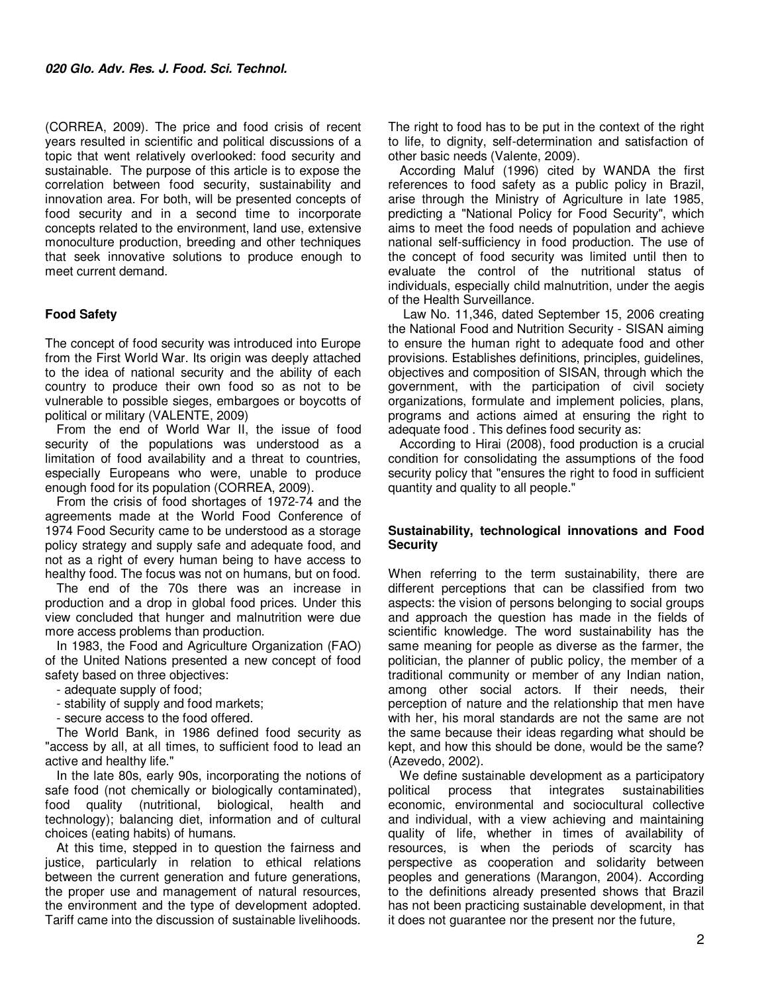(CORREA, 2009). The price and food crisis of recent years resulted in scientific and political discussions of a topic that went relatively overlooked: food security and sustainable. The purpose of this article is to expose the correlation between food security, sustainability and innovation area. For both, will be presented concepts of food security and in a second time to incorporate concepts related to the environment, land use, extensive monoculture production, breeding and other techniques that seek innovative solutions to produce enough to meet current demand.

# **Food Safety**

The concept of food security was introduced into Europe from the First World War. Its origin was deeply attached to the idea of national security and the ability of each country to produce their own food so as not to be vulnerable to possible sieges, embargoes or boycotts of political or military (VALENTE, 2009)

From the end of World War II, the issue of food security of the populations was understood as a limitation of food availability and a threat to countries, especially Europeans who were, unable to produce enough food for its population (CORREA, 2009).

From the crisis of food shortages of 1972-74 and the agreements made at the World Food Conference of 1974 Food Security came to be understood as a storage policy strategy and supply safe and adequate food, and not as a right of every human being to have access to healthy food. The focus was not on humans, but on food.

The end of the 70s there was an increase in production and a drop in global food prices. Under this view concluded that hunger and malnutrition were due more access problems than production.

In 1983, the Food and Agriculture Organization (FAO) of the United Nations presented a new concept of food safety based on three objectives:

- adequate supply of food;

- stability of supply and food markets;

- secure access to the food offered.

The World Bank, in 1986 defined food security as "access by all, at all times, to sufficient food to lead an active and healthy life."

In the late 80s, early 90s, incorporating the notions of safe food (not chemically or biologically contaminated), food quality (nutritional, biological, health and technology); balancing diet, information and of cultural choices (eating habits) of humans.

At this time, stepped in to question the fairness and justice, particularly in relation to ethical relations between the current generation and future generations, the proper use and management of natural resources, the environment and the type of development adopted. Tariff came into the discussion of sustainable livelihoods.

The right to food has to be put in the context of the right to life, to dignity, self-determination and satisfaction of other basic needs (Valente, 2009).

According Maluf (1996) cited by WANDA the first references to food safety as a public policy in Brazil, arise through the Ministry of Agriculture in late 1985, predicting a "National Policy for Food Security", which aims to meet the food needs of population and achieve national self-sufficiency in food production. The use of the concept of food security was limited until then to evaluate the control of the nutritional status of individuals, especially child malnutrition, under the aegis of the Health Surveillance.

 Law No. 11,346, dated September 15, 2006 creating the National Food and Nutrition Security - SISAN aiming to ensure the human right to adequate food and other provisions. Establishes definitions, principles, guidelines, objectives and composition of SISAN, through which the government, with the participation of civil society organizations, formulate and implement policies, plans, programs and actions aimed at ensuring the right to adequate food . This defines food security as:

According to Hirai (2008), food production is a crucial condition for consolidating the assumptions of the food security policy that "ensures the right to food in sufficient quantity and quality to all people."

#### **Sustainability, technological innovations and Food Security**

When referring to the term sustainability, there are different perceptions that can be classified from two aspects: the vision of persons belonging to social groups and approach the question has made in the fields of scientific knowledge. The word sustainability has the same meaning for people as diverse as the farmer, the politician, the planner of public policy, the member of a traditional community or member of any Indian nation, among other social actors. If their needs, their perception of nature and the relationship that men have with her, his moral standards are not the same are not the same because their ideas regarding what should be kept, and how this should be done, would be the same? (Azevedo, 2002).

We define sustainable development as a participatory political process that integrates sustainabilities economic, environmental and sociocultural collective and individual, with a view achieving and maintaining quality of life, whether in times of availability of resources, is when the periods of scarcity has perspective as cooperation and solidarity between peoples and generations (Marangon, 2004). According to the definitions already presented shows that Brazil has not been practicing sustainable development, in that it does not guarantee nor the present nor the future,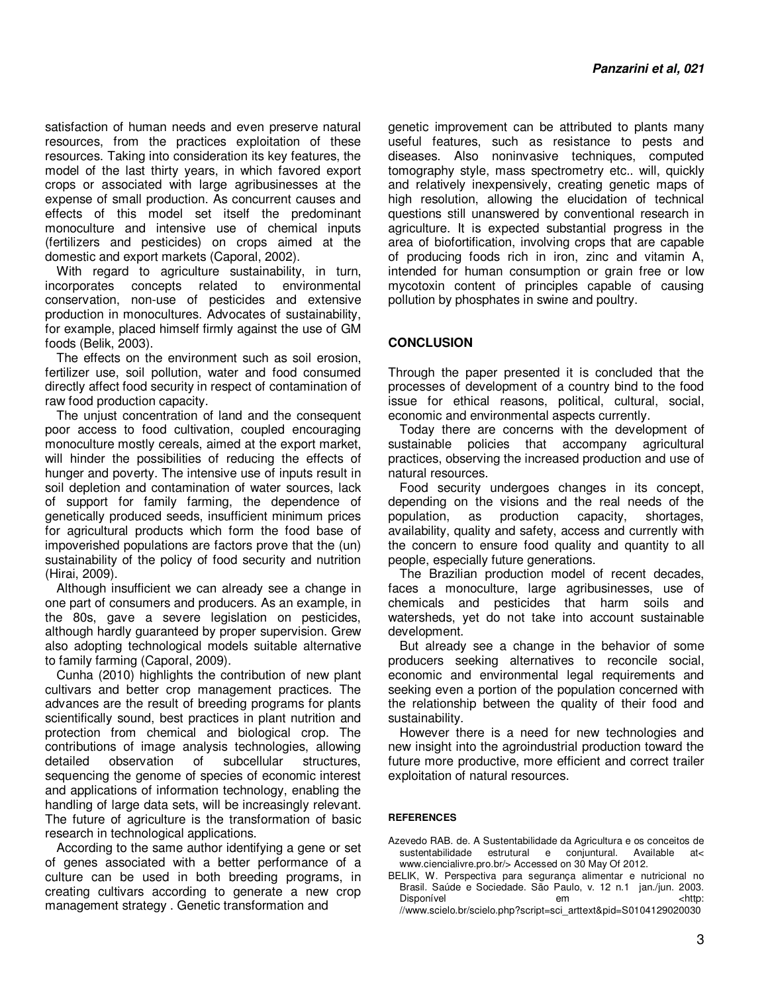satisfaction of human needs and even preserve natural resources, from the practices exploitation of these resources. Taking into consideration its key features, the model of the last thirty years, in which favored export crops or associated with large agribusinesses at the expense of small production. As concurrent causes and effects of this model set itself the predominant monoculture and intensive use of chemical inputs (fertilizers and pesticides) on crops aimed at the domestic and export markets (Caporal, 2002).

With regard to agriculture sustainability, in turn, incorporates concepts related to environmental conservation, non-use of pesticides and extensive production in monocultures. Advocates of sustainability, for example, placed himself firmly against the use of GM foods (Belik, 2003).

The effects on the environment such as soil erosion, fertilizer use, soil pollution, water and food consumed directly affect food security in respect of contamination of raw food production capacity.

The unjust concentration of land and the consequent poor access to food cultivation, coupled encouraging monoculture mostly cereals, aimed at the export market, will hinder the possibilities of reducing the effects of hunger and poverty. The intensive use of inputs result in soil depletion and contamination of water sources, lack of support for family farming, the dependence of genetically produced seeds, insufficient minimum prices for agricultural products which form the food base of impoverished populations are factors prove that the (un) sustainability of the policy of food security and nutrition (Hirai, 2009).

Although insufficient we can already see a change in one part of consumers and producers. As an example, in the 80s, gave a severe legislation on pesticides, although hardly guaranteed by proper supervision. Grew also adopting technological models suitable alternative to family farming (Caporal, 2009).

Cunha (2010) highlights the contribution of new plant cultivars and better crop management practices. The advances are the result of breeding programs for plants scientifically sound, best practices in plant nutrition and protection from chemical and biological crop. The contributions of image analysis technologies, allowing detailed observation of subcellular structures, sequencing the genome of species of economic interest and applications of information technology, enabling the handling of large data sets, will be increasingly relevant. The future of agriculture is the transformation of basic research in technological applications.

According to the same author identifying a gene or set of genes associated with a better performance of a culture can be used in both breeding programs, in creating cultivars according to generate a new crop management strategy . Genetic transformation and

genetic improvement can be attributed to plants many useful features, such as resistance to pests and diseases. Also noninvasive techniques, computed tomography style, mass spectrometry etc.. will, quickly and relatively inexpensively, creating genetic maps of high resolution, allowing the elucidation of technical questions still unanswered by conventional research in agriculture. It is expected substantial progress in the area of biofortification, involving crops that are capable of producing foods rich in iron, zinc and vitamin A, intended for human consumption or grain free or low mycotoxin content of principles capable of causing pollution by phosphates in swine and poultry.

## **CONCLUSION**

Through the paper presented it is concluded that the processes of development of a country bind to the food issue for ethical reasons, political, cultural, social, economic and environmental aspects currently.

Today there are concerns with the development of sustainable policies that accompany agricultural practices, observing the increased production and use of natural resources.

Food security undergoes changes in its concept, depending on the visions and the real needs of the population, as production capacity, shortages, availability, quality and safety, access and currently with the concern to ensure food quality and quantity to all people, especially future generations.

The Brazilian production model of recent decades, faces a monoculture, large agribusinesses, use of chemicals and pesticides that harm soils and watersheds, yet do not take into account sustainable development.

But already see a change in the behavior of some producers seeking alternatives to reconcile social, economic and environmental legal requirements and seeking even a portion of the population concerned with the relationship between the quality of their food and sustainability.

However there is a need for new technologies and new insight into the agroindustrial production toward the future more productive, more efficient and correct trailer exploitation of natural resources.

#### **REFERENCES**

- Azevedo RAB. de. A Sustentabilidade da Agricultura e os conceitos de sustentabilidade estrutural e conjuntural. Available at< www.ciencialivre.pro.br/> Accessed on 30 May Of 2012.
- BELIK, W. Perspectiva para segurança alimentar e nutricional no Brasil. Saúde e Sociedade. São Paulo, v. 12 n.1 jan./jun. 2003. Disponível em em <http: //www.scielo.br/scielo.php?script=sci\_arttext&pid=S0104129020030